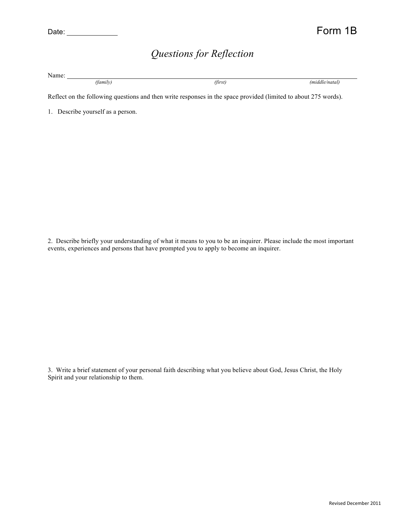## *Questions for Reflection*

Name: *(family) (first) (middle/natal)*

Reflect on the following questions and then write responses in the space provided (limited to about 275 words).

1. Describe yourself as a person.

2. Describe briefly your understanding of what it means to you to be an inquirer. Please include the most important events, experiences and persons that have prompted you to apply to become an inquirer.

3. Write a brief statement of your personal faith describing what you believe about God, Jesus Christ, the Holy Spirit and your relationship to them.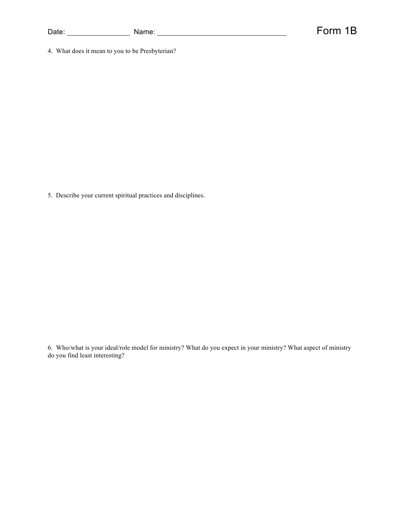| Date: | $   -$<br>ם חוד<br>vaniv. |  |
|-------|---------------------------|--|
|       |                           |  |

Form 1B

4. What does it mean to you to be Presbyterian?

5. Describe your current spiritual practices and disciplines.

6. Who/what is your ideal/role model for ministry? What do you expect in your ministry? What aspect of ministry do you find least interesting?